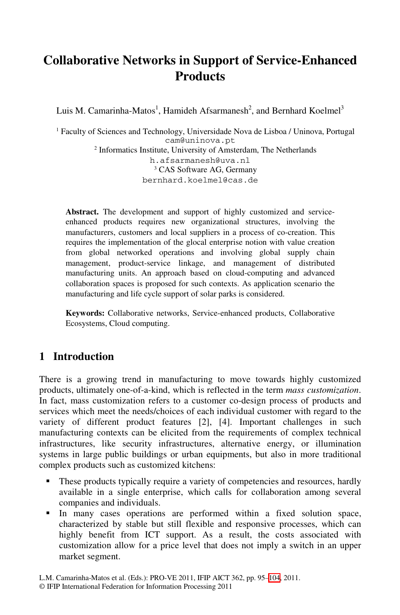# **Collaborative Networks in Support of Service-Enhanced Products**

Luis M. Camarinha-Matos<sup>1</sup>, Hamideh Afsarmanesh<sup>2</sup>, and Bernhard Koelmel<sup>3</sup>

<sup>1</sup> Faculty of Sciences and Technology, Universidade Nova de Lisboa / Uninova, Portugal cam@uninova.pt 2 Informatics Institute, University of Amsterdam, The Netherlands h.afsarmanesh@uva.nl

> 3 CAS Software AG, Germany bernhard.koelmel@cas.de

**Abstract.** The development and support of highly customized and serviceenhanced products requires new organizational structures, involving the manufacturers, customers and local suppliers in a process of co-creation. This requires the implementation of the glocal enterprise notion with value creation from global networked operations and involving global supply chain management, product-service linkage, and management of distributed manufacturing units. An approach based on cloud-computing and advanced collaboration spaces is proposed for such contexts. As application scenario the manufacturing and life cycle support of solar parks is considered.

**Keywords:** Collaborative networks, Service-enhanced products, Collaborative Ecosystems, Cloud computing.

#### **1 Introduction**

There is a growing trend in manufacturing to move towards highly customized products, ultimately one-of-a-kind, which is reflected in the term *mass customization*. In fact, mass customization refers to a customer co-design process of products and services which meet the needs/choices of each individual customer with regard to the variety of different product features [2], [4]. Important challenges in such manufacturing contexts can be elicited from the requirements of complex technical infrastructures, like security infrastructures, alternative energy, or illumination systems in large public buildings or urban equipments, but also in more traditional complex products such as customized kitchens:

- These products typically require a variety of competencies and resources, hardly available in a single enterprise, [whic](#page-9-0)h calls for collaboration among several companies and individuals.
- In many cases operations are performed within a fixed solution space, characterized by stable but still flexible and responsive processes, which can highly benefit from ICT support. As a result, the costs associated with customization allow for a price level that does not imply a switch in an upper market segment.

L.M. Camarinha-Matos et al. (Eds.): PRO-VE 2011, IFIP AICT 362, pp. 95–104, 2011.

© IFIP International Federation for Information Processing 2011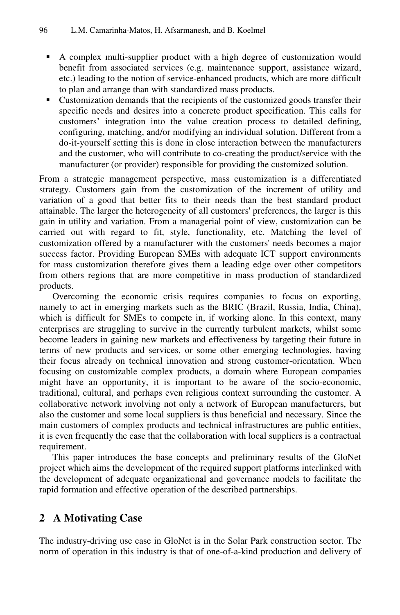- A complex multi-supplier product with a high degree of customization would benefit from associated services (e.g. maintenance support, assistance wizard, etc.) leading to the notion of service-enhanced products, which are more difficult to plan and arrange than with standardized mass products.
- Customization demands that the recipients of the customized goods transfer their specific needs and desires into a concrete product specification. This calls for customers' integration into the value creation process to detailed defining, configuring, matching, and/or modifying an individual solution. Different from a do-it-yourself setting this is done in close interaction between the manufacturers and the customer, who will contribute to co-creating the product/service with the manufacturer (or provider) responsible for providing the customized solution.

From a strategic management perspective, mass customization is a differentiated strategy. Customers gain from the customization of the increment of utility and variation of a good that better fits to their needs than the best standard product attainable. The larger the heterogeneity of all customers' preferences, the larger is this gain in utility and variation. From a managerial point of view, customization can be carried out with regard to fit, style, functionality, etc. Matching the level of customization offered by a manufacturer with the customers' needs becomes a major success factor. Providing European SMEs with adequate ICT support environments for mass customization therefore gives them a leading edge over other competitors from others regions that are more competitive in mass production of standardized products.

Overcoming the economic crisis requires companies to focus on exporting, namely to act in emerging markets such as the BRIC (Brazil, Russia, India, China), which is difficult for SMEs to compete in, if working alone. In this context, many enterprises are struggling to survive in the currently turbulent markets, whilst some become leaders in gaining new markets and effectiveness by targeting their future in terms of new products and services, or some other emerging technologies, having their focus already on technical innovation and strong customer-orientation. When focusing on customizable complex products, a domain where European companies might have an opportunity, it is important to be aware of the socio-economic, traditional, cultural, and perhaps even religious context surrounding the customer. A collaborative network involving not only a network of European manufacturers, but also the customer and some local suppliers is thus beneficial and necessary. Since the main customers of complex products and technical infrastructures are public entities, it is even frequently the case that the collaboration with local suppliers is a contractual requirement.

This paper introduces the base concepts and preliminary results of the GloNet project which aims the development of the required support platforms interlinked with the development of adequate organizational and governance models to facilitate the rapid formation and effective operation of the described partnerships.

### **2 A Motivating Case**

The industry-driving use case in GloNet is in the Solar Park construction sector. The norm of operation in this industry is that of one-of-a-kind production and delivery of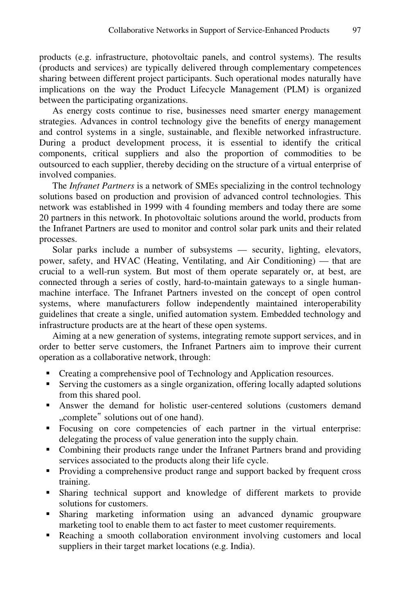products (e.g. infrastructure, photovoltaic panels, and control systems). The results (products and services) are typically delivered through complementary competences sharing between different project participants. Such operational modes naturally have implications on the way the Product Lifecycle Management (PLM) is organized between the participating organizations.

As energy costs continue to rise, businesses need smarter energy management strategies. Advances in control technology give the benefits of energy management and control systems in a single, sustainable, and flexible networked infrastructure. During a product development process, it is essential to identify the critical components, critical suppliers and also the proportion of commodities to be outsourced to each supplier, thereby deciding on the structure of a virtual enterprise of involved companies.

The *Infranet Partners* is a network of SMEs specializing in the control technology solutions based on production and provision of advanced control technologies. This network was established in 1999 with 4 founding members and today there are some 20 partners in this network. In photovoltaic solutions around the world, products from the Infranet Partners are used to monitor and control solar park units and their related processes.

Solar parks include a number of subsystems — security, lighting, elevators, power, safety, and HVAC (Heating, Ventilating, and Air Conditioning) — that are crucial to a well-run system. But most of them operate separately or, at best, are connected through a series of costly, hard-to-maintain gateways to a single humanmachine interface. The Infranet Partners invested on the concept of open control systems, where manufacturers follow independently maintained interoperability guidelines that create a single, unified automation system. Embedded technology and infrastructure products are at the heart of these open systems.

Aiming at a new generation of systems, integrating remote support services, and in order to better serve customers, the Infranet Partners aim to improve their current operation as a collaborative network, through:

- Creating a comprehensive pool of Technology and Application resources.
- Serving the customers as a single organization, offering locally adapted solutions from this shared pool.
- Answer the demand for holistic user-centered solutions (customers demand "complete" solutions out of one hand).
- " solutions out of one hand).<br>
on core competencies of<br>
the process of value generation Focusing on core competencies of each partner in the virtual enterprise: delegating the process of value generation into the supply chain.
- Combining their products range under the Infranet Partners brand and providing services associated to the products along their life cycle.
- Providing a comprehensive product range and support backed by frequent cross training.
- Sharing technical support and knowledge of different markets to provide solutions for customers.
- Sharing marketing information using an advanced dynamic groupware marketing tool to enable them to act faster to meet customer requirements.
- Reaching a smooth collaboration environment involving customers and local suppliers in their target market locations (e.g. India).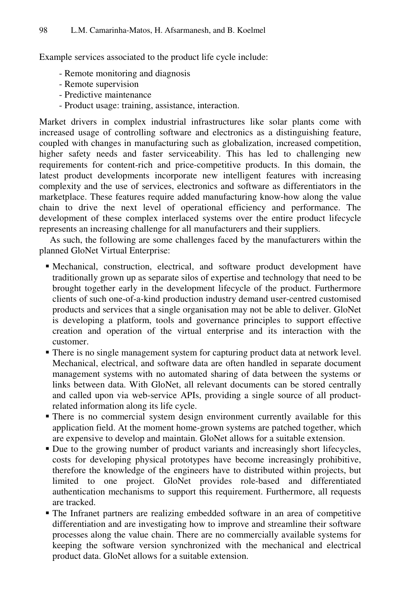Example services associated to the product life cycle include:

- Remote monitoring and diagnosis
- Remote supervision
- Predictive maintenance
- Product usage: training, assistance, interaction.

Market drivers in complex industrial infrastructures like solar plants come with increased usage of controlling software and electronics as a distinguishing feature, coupled with changes in manufacturing such as globalization, increased competition, higher safety needs and faster serviceability. This has led to challenging new requirements for content-rich and price-competitive products. In this domain, the latest product developments incorporate new intelligent features with increasing complexity and the use of services, electronics and software as differentiators in the marketplace. These features require added manufacturing know-how along the value chain to drive the next level of operational efficiency and performance. The development of these complex interlaced systems over the entire product lifecycle represents an increasing challenge for all manufacturers and their suppliers.

As such, the following are some challenges faced by the manufacturers within the planned GloNet Virtual Enterprise:

- Mechanical, construction, electrical, and software product development have traditionally grown up as separate silos of expertise and technology that need to be brought together early in the development lifecycle of the product. Furthermore clients of such one-of-a-kind production industry demand user-centred customised products and services that a single organisation may not be able to deliver. GloNet is developing a platform, tools and governance principles to support effective creation and operation of the virtual enterprise and its interaction with the customer.
- There is no single management system for capturing product data at network level. Mechanical, electrical, and software data are often handled in separate document management systems with no automated sharing of data between the systems or links between data. With GloNet, all relevant documents can be stored centrally and called upon via web-service APIs, providing a single source of all productrelated information along its life cycle.
- There is no commercial system design environment currently available for this application field. At the moment home-grown systems are patched together, which are expensive to develop and maintain. GloNet allows for a suitable extension.
- Due to the growing number of product variants and increasingly short lifecycles, costs for developing physical prototypes have become increasingly prohibitive, therefore the knowledge of the engineers have to distributed within projects, but limited to one project. GloNet provides role-based and differentiated authentication mechanisms to support this requirement. Furthermore, all requests are tracked.
- The Infranet partners are realizing embedded software in an area of competitive differentiation and are investigating how to improve and streamline their software processes along the value chain. There are no commercially available systems for keeping the software version synchronized with the mechanical and electrical product data. GloNet allows for a suitable extension.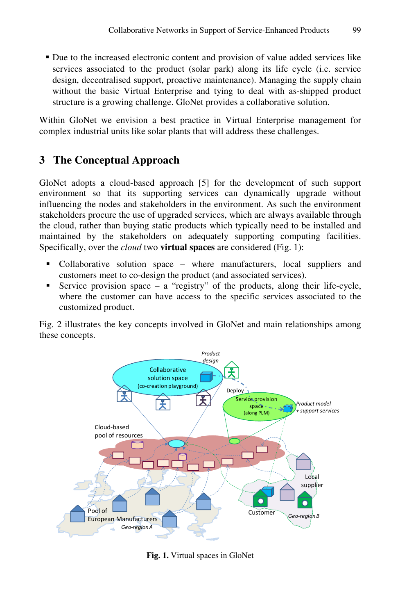Due to the increased electronic content and provision of value added services like services associated to the product (solar park) along its life cycle (i.e. service design, decentralised support, proactive maintenance). Managing the supply chain without the basic Virtual Enterprise and tying to deal with as-shipped product structure is a growing challenge. GloNet provides a collaborative solution.

Within GloNet we envision a best practice in Virtual Enterprise management for complex industrial units like solar plants that will address these challenges.

# **3 The Conceptual Approach**

GloNet adopts a cloud-based approach [5] for the development of such support environment so that its supporting services can dynamically upgrade without influencing the nodes and stakeholders in the environment. As such the environment stakeholders procure the use of upgraded services, which are always available through the cloud, rather than buying static products which typically need to be installed and maintained by the stakeholders on adequately supporting computing facilities. Specifically, over the *cloud* two **virtual spaces** are considered (Fig. 1):

- Collaborative solution space where manufacturers, local suppliers and customers meet to co-design the product (and associated services).
- Service provision space  $-$  a "registry" of the products, along their life-cycle, where the customer can have access to the specific services associated to the customized product.

Fig. 2 illustrates the key concepts involved in GloNet and main relationships among these concepts.



**Fig. 1.** Virtual spaces in GloNet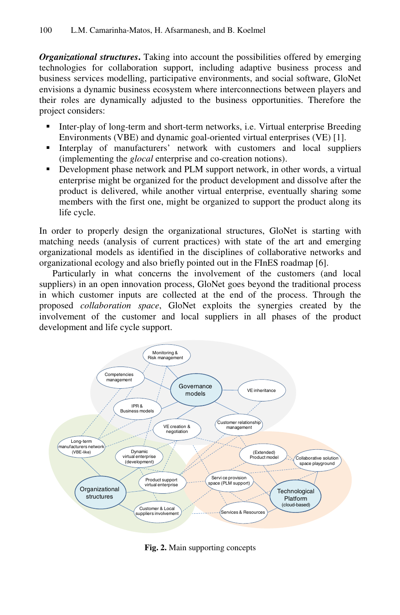*Organizational structures***.** Taking into account the possibilities offered by emerging technologies for collaboration support, including adaptive business process and business services modelling, participative environments, and social software, GloNet envisions a dynamic business ecosystem where interconnections between players and their roles are dynamically adjusted to the business opportunities. Therefore the project considers:

- Inter-play of long-term and short-term networks, i.e. Virtual enterprise Breeding Environments (VBE) and dynamic goal-oriented virtual enterprises (VE) [1].
- Interplay of manufacturers' network with customers and local suppliers (implementing the *glocal* enterprise and co-creation notions).
- Development phase network and PLM support network, in other words, a virtual enterprise might be organized for the product development and dissolve after the product is delivered, while another virtual enterprise, eventually sharing some members with the first one, might be organized to support the product along its life cycle.

In order to properly design the organizational structures, GloNet is starting with matching needs (analysis of current practices) with state of the art and emerging organizational models as identified in the disciplines of collaborative networks and organizational ecology and also briefly pointed out in the FInES roadmap [6].

Particularly in what concerns the involvement of the customers (and local suppliers) in an open innovation process, GloNet goes beyond the traditional process in which customer inputs are collected at the end of the process. Through the proposed *collaboration space*, GloNet exploits the synergies created by the involvement of the customer and local suppliers in all phases of the product development and life cycle support.



**Fig. 2.** Main supporting concepts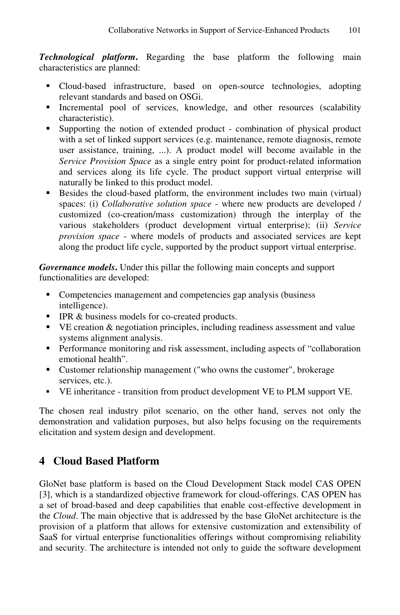*Technological platform***.** Regarding the base platform the following main characteristics are planned:

- Cloud-based infrastructure, based on open-source technologies, adopting relevant standards and based on OSGi.
- Incremental pool of services, knowledge, and other resources (scalability characteristic).
- Supporting the notion of extended product combination of physical product with a set of linked support services (e.g. maintenance, remote diagnosis, remote user assistance, training, ...). A product model will become available in the *Service Provision Space* as a single entry point for product-related information and services along its life cycle. The product support virtual enterprise will naturally be linked to this product model.
- Besides the cloud-based platform, the environment includes two main (virtual) spaces: (i) *Collaborative solution space* - where new products are developed / customized (co-creation/mass customization) through the interplay of the various stakeholders (product development virtual enterprise); (ii) *Service provision space* - where models of products and associated services are kept along the product life cycle, supported by the product support virtual enterprise.

*Governance models***.** Under this pillar the following main concepts and support functionalities are developed:

- Competencies management and competencies gap analysis (business intelligence).
- **IPR & business models for co-created products.**
- $\bullet$  VE creation  $\&$  negotiation principles, including readiness assessment and value systems alignment analysis.
- **Performance monitoring and risk assessment, including aspects of "collaboration"** emotional health".
- Customer relationship management ("who owns the customer", brokerage services, etc.).
- VE inheritance transition from product development VE to PLM support VE.

The chosen real industry pilot scenario, on the other hand, serves not only the demonstration and validation purposes, but also helps focusing on the requirements elicitation and system design and development.

# **4 Cloud Based Platform**

GloNet base platform is based on the Cloud Development Stack model CAS OPEN [3], which is a standardized objective framework for cloud-offerings. CAS OPEN has a set of broad-based and deep capabilities that enable cost-effective development in the *Cloud*. The main objective that is addressed by the base GloNet architecture is the provision of a platform that allows for extensive customization and extensibility of SaaS for virtual enterprise functionalities offerings without compromising reliability and security. The architecture is intended not only to guide the software development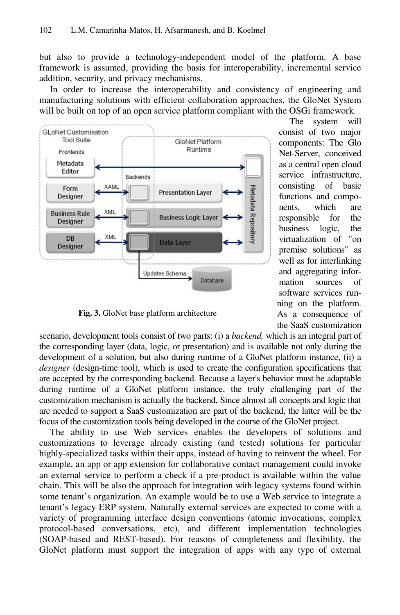but also to provide a technology-independent model of the platform. A base framework is assumed, providing the basis for interoperability, incremental service addition, security, and privacy mechanisms.

In order to increase the interoperability and consistency of engineering and manufacturing solutions with efficient collaboration approaches, the GloNet System will be built on top of an open service platform compliant with the OSGi framework.



The system will consist of two major components: The Glo Net-Server, conceived as a central open cloud service infrastructure, consisting of basic functions and components, which are responsible for the business logic, the virtualization of "on premise solutions" as well as for interlinking and aggregating information sources of software services running on the platform. As a consequence of the SaaS customization

 **Fig. 3.** GloNet base platform architecture

scenario, development tools consist of two parts: (i) a *backend,* which is an integral part of the corresponding layer (data, logic, or presentation) and is available not only during the development of a solution, but also during runtime of a GloNet platform instance, (ii) a *designer* (design-time tool), which is used to create the configuration specifications that are accepted by the corresponding backend. Because a layer's behavior must be adaptable during runtime of a GloNet platform instance, the truly challenging part of the customization mechanism is actually the backend. Since almost all concepts and logic that are needed to support a SaaS customization are part of the backend, the latter will be the focus of the customization tools being developed in the course of the GloNet project.

The ability to use Web services enables the developers of solutions and customizations to leverage already existing (and tested) solutions for particular highly-specialized tasks within their apps, instead of having to reinvent the wheel. For example, an app or app extension for collaborative contact management could invoke an external service to perform a check if a pre-product is available within the value chain. This will be also the approach for integration with legacy systems found within some tenant's organization. An example would be to use a Web service to integrate a tenant's legacy ERP system. Naturally external services are expected to come with a variety of programming interface design conventions (atomic invocations, complex protocol-based conversations, etc), and different implementation technologies (SOAP-based and REST-based). For reasons of completeness and flexibility, the GloNet platform must support the integration of apps with any type of external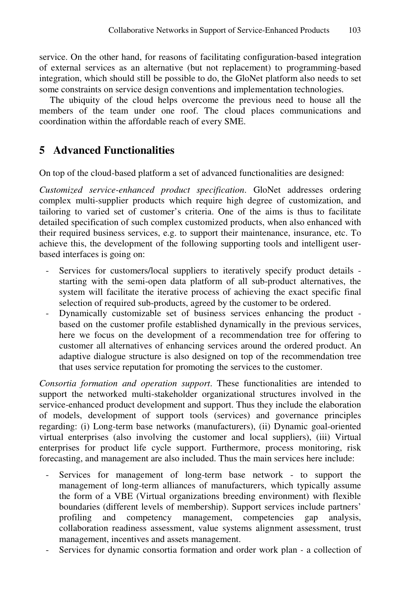service. On the other hand, for reasons of facilitating configuration-based integration of external services as an alternative (but not replacement) to programming-based integration, which should still be possible to do, the GloNet platform also needs to set some constraints on service design conventions and implementation technologies.

The ubiquity of the cloud helps overcome the previous need to house all the members of the team under one roof. The cloud places communications and coordination within the affordable reach of every SME.

## **5 Advanced Functionalities**

On top of the cloud-based platform a set of advanced functionalities are designed:

*Customized service-enhanced product specification*. GloNet addresses ordering complex multi-supplier products which require high degree of customization, and tailoring to varied set of customer's criteria. One of the aims is thus to facilitate detailed specification of such complex customized products, when also enhanced with their required business services, e.g. to support their maintenance, insurance, etc. To achieve this, the development of the following supporting tools and intelligent userbased interfaces is going on:

- Services for customers/local suppliers to iteratively specify product details starting with the semi-open data platform of all sub-product alternatives, the system will facilitate the iterative process of achieving the exact specific final selection of required sub-products, agreed by the customer to be ordered.
- Dynamically customizable set of business services enhancing the product based on the customer profile established dynamically in the previous services, here we focus on the development of a recommendation tree for offering to customer all alternatives of enhancing services around the ordered product. An adaptive dialogue structure is also designed on top of the recommendation tree that uses service reputation for promoting the services to the customer.

*Consortia formation and operation support*. These functionalities are intended to support the networked multi-stakeholder organizational structures involved in the service-enhanced product development and support. Thus they include the elaboration of models, development of support tools (services) and governance principles regarding: (i) Long-term base networks (manufacturers), (ii) Dynamic goal-oriented virtual enterprises (also involving the customer and local suppliers), (iii) Virtual enterprises for product life cycle support. Furthermore, process monitoring, risk forecasting, and management are also included. Thus the main services here include:

- Services for management of long-term base network to support the management of long-term alliances of manufacturers, which typically assume the form of a VBE (Virtual organizations breeding environment) with flexible boundaries (different levels of membership). Support services include partners' profiling and competency management, competencies gap analysis, collaboration readiness assessment, value systems alignment assessment, trust management, incentives and assets management.
- Services for dynamic consortia formation and order work plana collection of